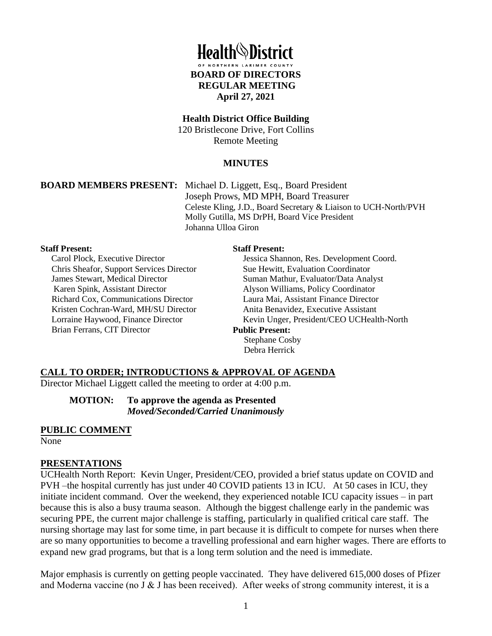

#### **Health District Office Building**

120 Bristlecone Drive, Fort Collins Remote Meeting

#### **MINUTES**

**BOARD MEMBERS PRESENT:** Michael D. Liggett, Esq., Board President Joseph Prows, MD MPH, Board Treasurer Celeste Kling, J.D., Board Secretary & Liaison to UCH-North/PVH Molly Gutilla, MS DrPH, Board Vice President Johanna Ulloa Giron

#### **Staff Present:**

Carol Plock, Executive Director Chris Sheafor, Support Services Director James Stewart, Medical Director Karen Spink, Assistant Director Richard Cox, Communications Director Kristen Cochran-Ward, MH/SU Director Lorraine Haywood, Finance Director Brian Ferrans, CIT Director

#### **Staff Present:**

Jessica Shannon, Res. Development Coord. Sue Hewitt, Evaluation Coordinator Suman Mathur, Evaluator/Data Analyst Alyson Williams, Policy Coordinator Laura Mai, Assistant Finance Director Anita Benavidez, Executive Assistant Kevin Unger, President/CEO UCHealth-North **Public Present:** Stephane Cosby Debra Herrick

#### **CALL TO ORDER; INTRODUCTIONS & APPROVAL OF AGENDA**

Director Michael Liggett called the meeting to order at 4:00 p.m.

**MOTION: To approve the agenda as Presented**  *Moved/Seconded/Carried Unanimously* 

#### **PUBLIC COMMENT**

None

#### **PRESENTATIONS**

UCHealth North Report: Kevin Unger, President/CEO, provided a brief status update on COVID and PVH –the hospital currently has just under 40 COVID patients 13 in ICU. At 50 cases in ICU, they initiate incident command. Over the weekend, they experienced notable ICU capacity issues – in part because this is also a busy trauma season. Although the biggest challenge early in the pandemic was securing PPE, the current major challenge is staffing, particularly in qualified critical care staff. The nursing shortage may last for some time, in part because it is difficult to compete for nurses when there are so many opportunities to become a travelling professional and earn higher wages. There are efforts to expand new grad programs, but that is a long term solution and the need is immediate.

Major emphasis is currently on getting people vaccinated. They have delivered 615,000 doses of Pfizer and Moderna vaccine (no J & J has been received). After weeks of strong community interest, it is a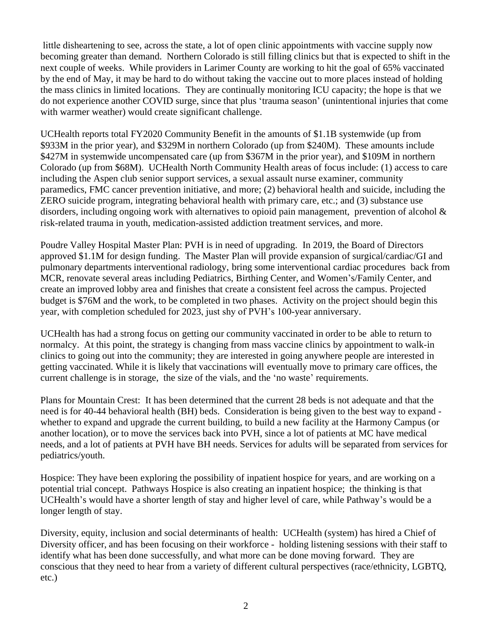little disheartening to see, across the state, a lot of open clinic appointments with vaccine supply now becoming greater than demand. Northern Colorado is still filling clinics but that is expected to shift in the next couple of weeks. While providers in Larimer County are working to hit the goal of 65% vaccinated by the end of May, it may be hard to do without taking the vaccine out to more places instead of holding the mass clinics in limited locations. They are continually monitoring ICU capacity; the hope is that we do not experience another COVID surge, since that plus 'trauma season' (unintentional injuries that come with warmer weather) would create significant challenge.

UCHealth reports total FY2020 Community Benefit in the amounts of \$1.1B systemwide (up from \$933M in the prior year), and \$329M in northern Colorado (up from \$240M). These amounts include \$427M in systemwide uncompensated care (up from \$367M in the prior year), and \$109M in northern Colorado (up from \$68M). UCHealth North Community Health areas of focus include: (1) access to care including the Aspen club senior support services, a sexual assault nurse examiner, community paramedics, FMC cancer prevention initiative, and more; (2) behavioral health and suicide, including the ZERO suicide program, integrating behavioral health with primary care, etc.; and (3) substance use disorders, including ongoing work with alternatives to opioid pain management, prevention of alcohol & risk-related trauma in youth, medication-assisted addiction treatment services, and more.

Poudre Valley Hospital Master Plan: PVH is in need of upgrading. In 2019, the Board of Directors approved \$1.1M for design funding. The Master Plan will provide expansion of surgical/cardiac/GI and pulmonary departments interventional radiology, bring some interventional cardiac procedures back from MCR, renovate several areas including Pediatrics, Birthing Center, and Women's/Family Center, and create an improved lobby area and finishes that create a consistent feel across the campus. Projected budget is \$76M and the work, to be completed in two phases. Activity on the project should begin this year, with completion scheduled for 2023, just shy of PVH's 100-year anniversary.

UCHealth has had a strong focus on getting our community vaccinated in order to be able to return to normalcy. At this point, the strategy is changing from mass vaccine clinics by appointment to walk-in clinics to going out into the community; they are interested in going anywhere people are interested in getting vaccinated. While it is likely that vaccinations will eventually move to primary care offices, the current challenge is in storage, the size of the vials, and the 'no waste' requirements.

Plans for Mountain Crest: It has been determined that the current 28 beds is not adequate and that the need is for 40-44 behavioral health (BH) beds. Consideration is being given to the best way to expand whether to expand and upgrade the current building, to build a new facility at the Harmony Campus (or another location), or to move the services back into PVH, since a lot of patients at MC have medical needs, and a lot of patients at PVH have BH needs. Services for adults will be separated from services for pediatrics/youth.

Hospice: They have been exploring the possibility of inpatient hospice for years, and are working on a potential trial concept. Pathways Hospice is also creating an inpatient hospice; the thinking is that UCHealth's would have a shorter length of stay and higher level of care, while Pathway's would be a longer length of stay.

Diversity, equity, inclusion and social determinants of health: UCHealth (system) has hired a Chief of Diversity officer, and has been focusing on their workforce - holding listening sessions with their staff to identify what has been done successfully, and what more can be done moving forward. They are conscious that they need to hear from a variety of different cultural perspectives (race/ethnicity, LGBTQ, etc.)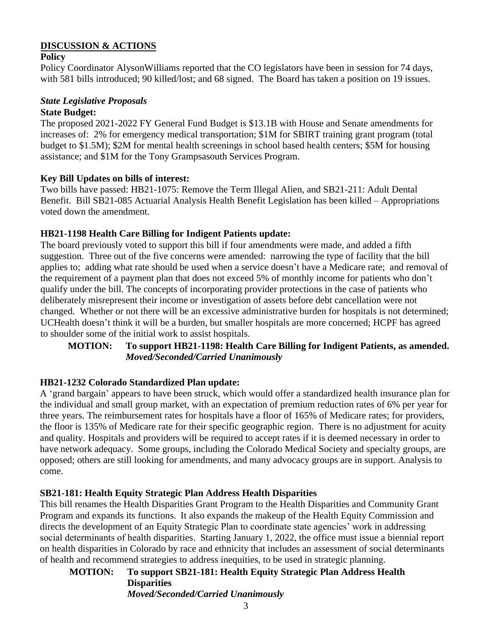#### **DISCUSSION & ACTIONS**

#### **Policy**

Policy Coordinator AlysonWilliams reported that the CO legislators have been in session for 74 days, with 581 bills introduced; 90 killed/lost; and 68 signed. The Board has taken a position on 19 issues.

# *State Legislative Proposals*

# **State Budget:**

The proposed 2021-2022 FY General Fund Budget is \$13.1B with House and Senate amendments for increases of: 2% for emergency medical transportation; \$1M for SBIRT training grant program (total budget to \$1.5M); \$2M for mental health screenings in school based health centers; \$5M for housing assistance; and \$1M for the Tony Grampsasouth Services Program.

#### **Key Bill Updates on bills of interest:**

Two bills have passed: HB21-1075: Remove the Term Illegal Alien, and SB21-211: Adult Dental Benefit. Bill SB21-085 Actuarial Analysis Health Benefit Legislation has been killed – Appropriations voted down the amendment.

#### **HB21-1198 Health Care Billing for Indigent Patients update:**

The board previously voted to support this bill if four amendments were made, and added a fifth suggestion. Three out of the five concerns were amended: narrowing the type of facility that the bill applies to; adding what rate should be used when a service doesn't have a Medicare rate; and removal of the requirement of a payment plan that does not exceed 5% of monthly income for patients who don't qualify under the bill. The concepts of incorporating provider protections in the case of patients who deliberately misrepresent their income or investigation of assets before debt cancellation were not changed. Whether or not there will be an excessive administrative burden for hospitals is not determined; UCHealth doesn't think it will be a burden, but smaller hospitals are more concerned; HCPF has agreed to shoulder some of the initial work to assist hospitals.

#### **MOTION: To support HB21-1198: Health Care Billing for Indigent Patients, as amended.**  *Moved/Seconded/Carried Unanimously*

# **HB21-1232 Colorado Standardized Plan update:**

A 'grand bargain' appears to have been struck, which would offer a standardized health insurance plan for the individual and small group market, with an expectation of premium reduction rates of 6% per year for three years. The reimbursement rates for hospitals have a floor of 165% of Medicare rates; for providers, the floor is 135% of Medicare rate for their specific geographic region. There is no adjustment for acuity and quality. Hospitals and providers will be required to accept rates if it is deemed necessary in order to have network adequacy. Some groups, including the Colorado Medical Society and specialty groups, are opposed; others are still looking for amendments, and many advocacy groups are in support. Analysis to come.

# **SB21-181: Health Equity Strategic Plan Address Health Disparities**

This bill renames the Health Disparities Grant Program to the Health Disparities and Community Grant Program and expands its functions. It also expands the makeup of the Health Equity Commission and directs the development of an Equity Strategic Plan to coordinate state agencies' work in addressing social determinants of health disparities. Starting January 1, 2022, the office must issue a biennial report on health disparities in Colorado by race and ethnicity that includes an assessment of social determinants of health and recommend strategies to address inequities, to be used in strategic planning.

# **MOTION: To support SB21-181: Health Equity Strategic Plan Address Health Disparities**

*Moved/Seconded/Carried Unanimously*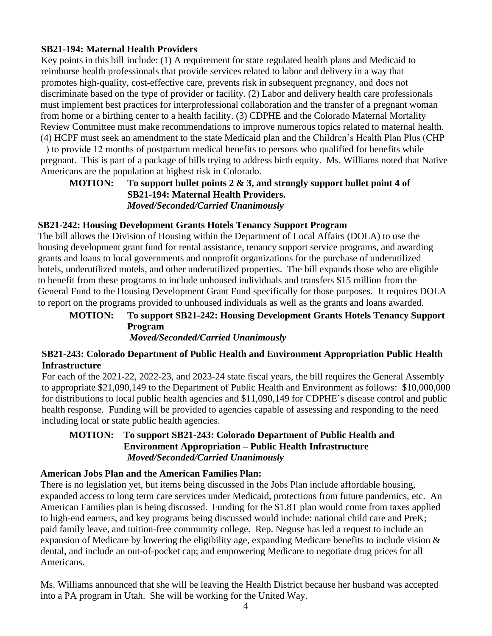#### **SB21-194: Maternal Health Providers**

Key points in this bill include: (1) A requirement for state regulated health plans and Medicaid to reimburse health professionals that provide services related to labor and delivery in a way that promotes high-quality, cost-effective care, prevents risk in subsequent pregnancy, and does not discriminate based on the type of provider or facility. (2) Labor and delivery health care professionals must implement best practices for interprofessional collaboration and the transfer of a pregnant woman from home or a birthing center to a health facility. (3) CDPHE and the Colorado Maternal Mortality Review Committee must make recommendations to improve numerous topics related to maternal health. (4) HCPF must seek an amendment to the state Medicaid plan and the Children's Health Plan Plus (CHP +) to provide 12 months of postpartum medical benefits to persons who qualified for benefits while pregnant. This is part of a package of bills trying to address birth equity. Ms. Williams noted that Native Americans are the population at highest risk in Colorado.

#### **MOTION: To support bullet points 2 & 3, and strongly support bullet point 4 of SB21-194: Maternal Health Providers.**  *Moved/Seconded/Carried Unanimously*

#### **SB21-242: Housing Development Grants Hotels Tenancy Support Program**

The bill allows the Division of Housing within the Department of Local Affairs (DOLA) to use the housing development grant fund for rental assistance, tenancy support service programs, and awarding grants and loans to local governments and nonprofit organizations for the purchase of underutilized hotels, underutilized motels, and other underutilized properties. The bill expands those who are eligible to benefit from these programs to include unhoused individuals and transfers \$15 million from the General Fund to the Housing Development Grant Fund specifically for those purposes. It requires DOLA to report on the programs provided to unhoused individuals as well as the grants and loans awarded.

#### **MOTION: To support SB21-242: Housing Development Grants Hotels Tenancy Support Program**  *Moved/Seconded/Carried Unanimously*

#### **SB21-243: Colorado Department of Public Health and Environment Appropriation Public Health Infrastructure**

For each of the 2021-22, 2022-23, and 2023-24 state fiscal years, the bill requires the General Assembly to appropriate \$21,090,149 to the Department of Public Health and Environment as follows: \$10,000,000 for distributions to local public health agencies and \$11,090,149 for CDPHE's disease control and public health response. Funding will be provided to agencies capable of assessing and responding to the need including local or state public health agencies.

#### **MOTION: To support SB21-243: Colorado Department of Public Health and Environment Appropriation – Public Health Infrastructure**  *Moved/Seconded/Carried Unanimously*

#### **American Jobs Plan and the American Families Plan:**

There is no legislation yet, but items being discussed in the Jobs Plan include affordable housing, expanded access to long term care services under Medicaid, protections from future pandemics, etc. An American Families plan is being discussed. Funding for the \$1.8T plan would come from taxes applied to high-end earners, and key programs being discussed would include: national child care and PreK; paid family leave, and tuition-free community college. Rep. Neguse has led a request to include an expansion of Medicare by lowering the eligibility age, expanding Medicare benefits to include vision & dental, and include an out-of-pocket cap; and empowering Medicare to negotiate drug prices for all Americans.

Ms. Williams announced that she will be leaving the Health District because her husband was accepted into a PA program in Utah. She will be working for the United Way.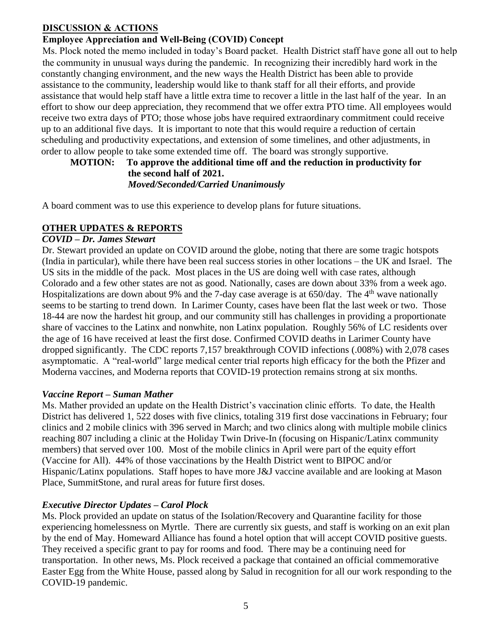#### **DISCUSSION & ACTIONS**

# **Employee Appreciation and Well-Being (COVID) Concept**

Ms. Plock noted the memo included in today's Board packet. Health District staff have gone all out to help the community in unusual ways during the pandemic. In recognizing their incredibly hard work in the constantly changing environment, and the new ways the Health District has been able to provide assistance to the community, leadership would like to thank staff for all their efforts, and provide assistance that would help staff have a little extra time to recover a little in the last half of the year. In an effort to show our deep appreciation, they recommend that we offer extra PTO time. All employees would receive two extra days of PTO; those whose jobs have required extraordinary commitment could receive up to an additional five days. It is important to note that this would require a reduction of certain scheduling and productivity expectations, and extension of some timelines, and other adjustments, in order to allow people to take some extended time off. The board was strongly supportive.

#### **MOTION: To approve the additional time off and the reduction in productivity for the second half of 2021.**  *Moved/Seconded/Carried Unanimously*

A board comment was to use this experience to develop plans for future situations.

# **OTHER UPDATES & REPORTS**

# *COVID – Dr. James Stewart*

Dr. Stewart provided an update on COVID around the globe, noting that there are some tragic hotspots (India in particular), while there have been real success stories in other locations – the UK and Israel. The US sits in the middle of the pack. Most places in the US are doing well with case rates, although Colorado and a few other states are not as good. Nationally, cases are down about 33% from a week ago. Hospitalizations are down about 9% and the 7-day case average is at  $650$ /day. The 4<sup>th</sup> wave nationally seems to be starting to trend down. In Larimer County, cases have been flat the last week or two. Those 18-44 are now the hardest hit group, and our community still has challenges in providing a proportionate share of vaccines to the Latinx and nonwhite, non Latinx population. Roughly 56% of LC residents over the age of 16 have received at least the first dose. Confirmed COVID deaths in Larimer County have dropped significantly. The CDC reports 7,157 breakthrough COVID infections (.008%) with 2,078 cases asymptomatic. A "real-world" large medical center trial reports high efficacy for the both the Pfizer and Moderna vaccines, and Moderna reports that COVID-19 protection remains strong at six months.

#### *Vaccine Report – Suman Mather*

Ms. Mather provided an update on the Health District's vaccination clinic efforts. To date, the Health District has delivered 1, 522 doses with five clinics, totaling 319 first dose vaccinations in February; four clinics and 2 mobile clinics with 396 served in March; and two clinics along with multiple mobile clinics reaching 807 including a clinic at the Holiday Twin Drive-In (focusing on Hispanic/Latinx community members) that served over 100. Most of the mobile clinics in April were part of the equity effort (Vaccine for All). 44% of those vaccinations by the Health District went to BIPOC and/or Hispanic/Latinx populations. Staff hopes to have more J&J vaccine available and are looking at Mason Place, SummitStone, and rural areas for future first doses.

#### *Executive Director Updates – Carol Plock*

Ms. Plock provided an update on status of the Isolation/Recovery and Quarantine facility for those experiencing homelessness on Myrtle. There are currently six guests, and staff is working on an exit plan by the end of May. Homeward Alliance has found a hotel option that will accept COVID positive guests. They received a specific grant to pay for rooms and food. There may be a continuing need for transportation. In other news, Ms. Plock received a package that contained an official commemorative Easter Egg from the White House, passed along by Salud in recognition for all our work responding to the COVID-19 pandemic.